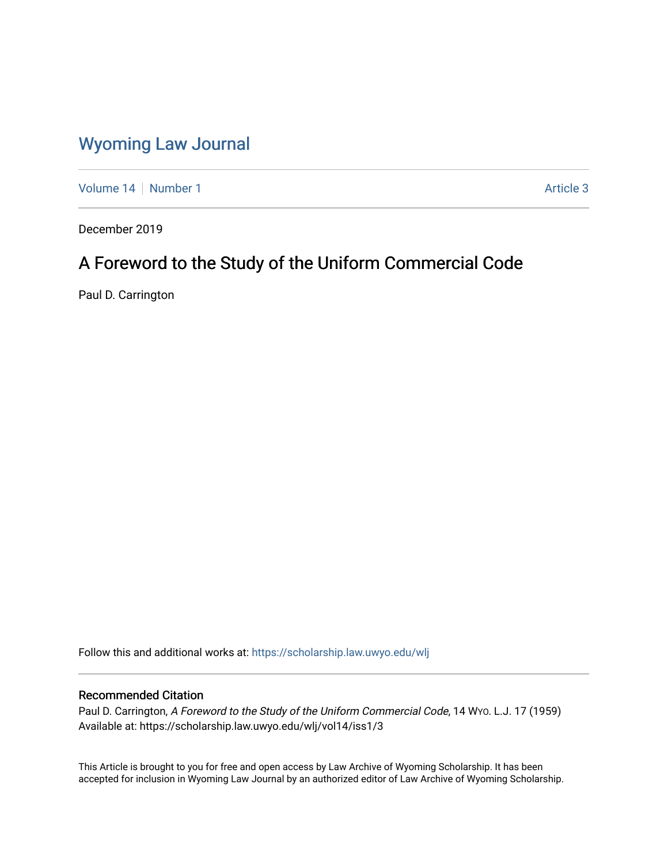# [Wyoming Law Journal](https://scholarship.law.uwyo.edu/wlj)

[Volume 14](https://scholarship.law.uwyo.edu/wlj/vol14) | [Number 1](https://scholarship.law.uwyo.edu/wlj/vol14/iss1) [Article 3](https://scholarship.law.uwyo.edu/wlj/vol14/iss1/3) Article 3

December 2019

# A Foreword to the Study of the Uniform Commercial Code

Paul D. Carrington

Follow this and additional works at: [https://scholarship.law.uwyo.edu/wlj](https://scholarship.law.uwyo.edu/wlj?utm_source=scholarship.law.uwyo.edu%2Fwlj%2Fvol14%2Fiss1%2F3&utm_medium=PDF&utm_campaign=PDFCoverPages) 

## Recommended Citation

Paul D. Carrington, A Foreword to the Study of the Uniform Commercial Code, 14 WYO. L.J. 17 (1959) Available at: https://scholarship.law.uwyo.edu/wlj/vol14/iss1/3

This Article is brought to you for free and open access by Law Archive of Wyoming Scholarship. It has been accepted for inclusion in Wyoming Law Journal by an authorized editor of Law Archive of Wyoming Scholarship.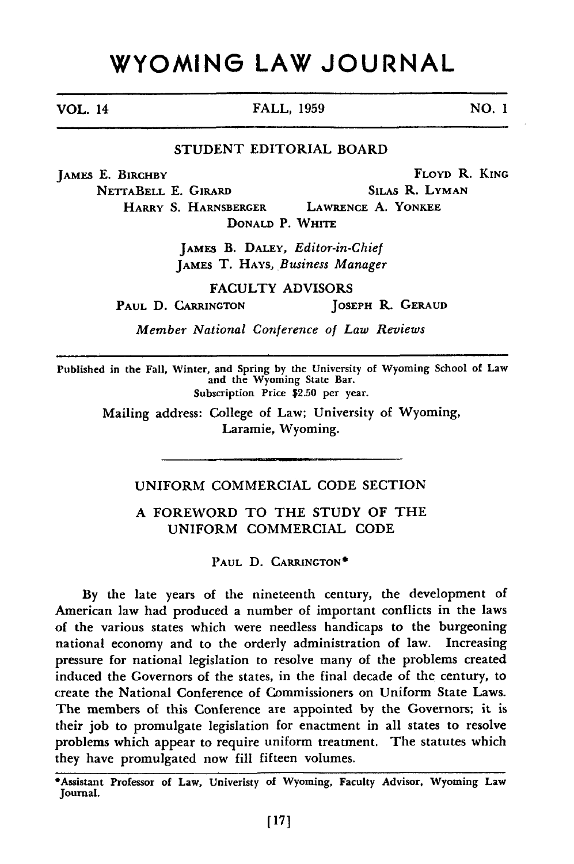# **WYOMING LAW JOURNAL**

### **STUDENT** EDITORIAL BOARD

JAMES E. BIRCHBY FLOYD R. KING

NETTABELL E. GIRARD SILAS R. LYMAN HARRY **S.** HARNSBERGER LAWRENCE **A.** YONKEE **DONALD** P. WHITE

> JAMES B. **DALEY,** *Editor-in-Chief* JAMES T. HAYS, *Business Manager*

> > **FACULTY** ADVISORS

PAUL D. CARRINGTON **JOSEPH R. GERAUD** 

*Member National Conference of Law Reviews*

Published in the Fall, Winter, and Spring **by** the University of Wyoming School of Law and the Wyoming State Bar. Subscription Price **\$2.50** per year.

Mailing address: College of Law; University of Wyoming, Laramie, Wyoming.

### **UNIFORM** COMMERCIAL **CODE SECTION**

### **A** FOREWORD TO THE **STUDY** OF THE UNIFORM COMMERCIAL **CODE**

PAUL D. **CARRINGTON\*** 

**By** the late years of the nineteenth century, the development of American law had produced a number of important conflicts in the laws of the various states which were needless handicaps to the burgeoning national economy and to the orderly administration of law. Increasing pressure for national legislation to resolve many of the problems created induced the Governors of the states, in the final decade of the century, to create the National Conference of Commissioners on Uniform State Laws. The members of this Conference are appointed **by** the Governors; it is their **job** to promulgate legislation for enactment in all states to resolve problems which appear to require uniform treatment. The statutes which they have promulgated now fill fifteen volumes.

VOL. 14 FALL, **1959** NO. I

<sup>\*</sup>Assistant Professor of Law, Univeristy of Wyoming, Faculty Advisor, Wyoming Law Journal.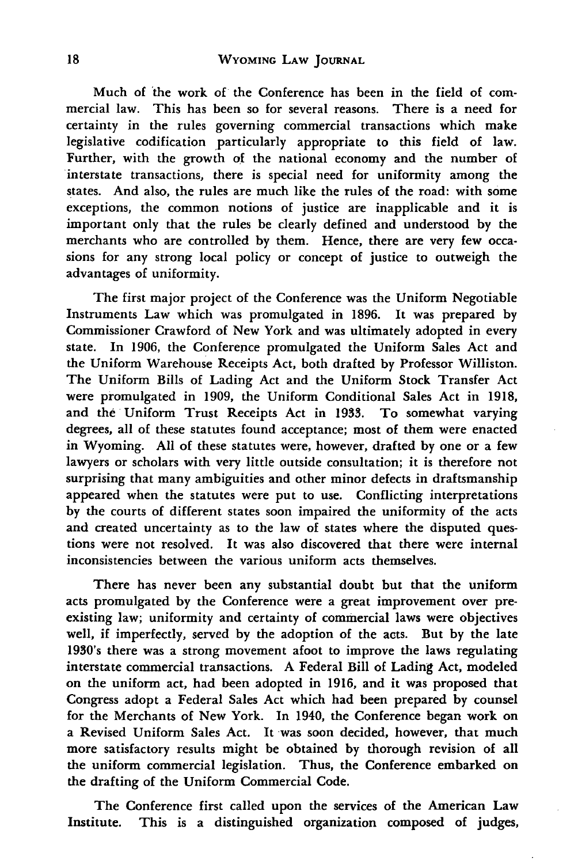Much of 'the work of the Conference has been in the field of commercial law. This has been so for several reasons. There is a need for certainty in the rules governing commercial transactions which make legislative codification particularly appropriate to this field of law. Further, with the growth of the national economy and the number of interstate transactions, there is special need for uniformity among the states. And also, the rules are much like the rules of the road: with some exceptions, the common notions of justice are inapplicable and it is important only that the rules be clearly defined and understood by the merchants who are controlled **by** them. Hence, there are very few occasions for any strong local policy or concept of justice to outweigh the advantages of uniformity.

The first major project of the Conference was the Uniform Negotiable Instruments Law which was promulgated in **1896.** It was prepared by Commissioner Crawford of New York and was ultimately adopted in every state. In **1906,** the Conference promulgated the Uniform Sales Act and the Uniform Warehouse Receipts Act, both drafted **by** Professor Williston. The Uniform Bills of Lading Act and the Uniform Stock Transfer Act were promulgated in **1909,** the Uniform Conditional Sales Act in 1918, and the Uniform Trust Receipts Act in **1933.** To somewhat varying degrees, all of these statutes found acceptance; most of them were enacted in Wyoming. All of these statutes were, however, drafted by one or a few lawyers or scholars with very little outside consultation; it is therefore not surprising that many ambiguities and other minor defects in draftsmanship appeared when the statutes were put to use. Conflicting interpretations by the courts of different states soon impaired the uniformity of the acts and created uncertainty as to the law of states where the disputed questions were not resolved. It was also discovered that there were internal inconsistencies between the various uniform acts themselves.

There has never been any substantial doubt but that the uniform acts promulgated by the Conference were a great improvement over preexisting law; uniformity and certainty of commercial laws were objectives well, if imperfectly, served by the adoption of the acts. But **by** the late 1930's there was a strong movement afoot to improve the laws regulating interstate commercial transactions. A Federal Bill of Lading Act, modeled on the uniform act, had been adopted in **1916,** and it was proposed that Congress adopt a Federal Sales Act which had been prepared by counsel for the Merchants of New York. In 1940, the Conference began work on a Revised Uniform Sales Act. It was soon decided, however, that much more satisfactory results might be obtained by thorough revision of all the uniform commercial legislation. Thus, the Conference embarked on the drafting of the Uniform Commercial Code.

The Conference first called upon the services of the American Law Institute. This is a distinguished organization composed of judges,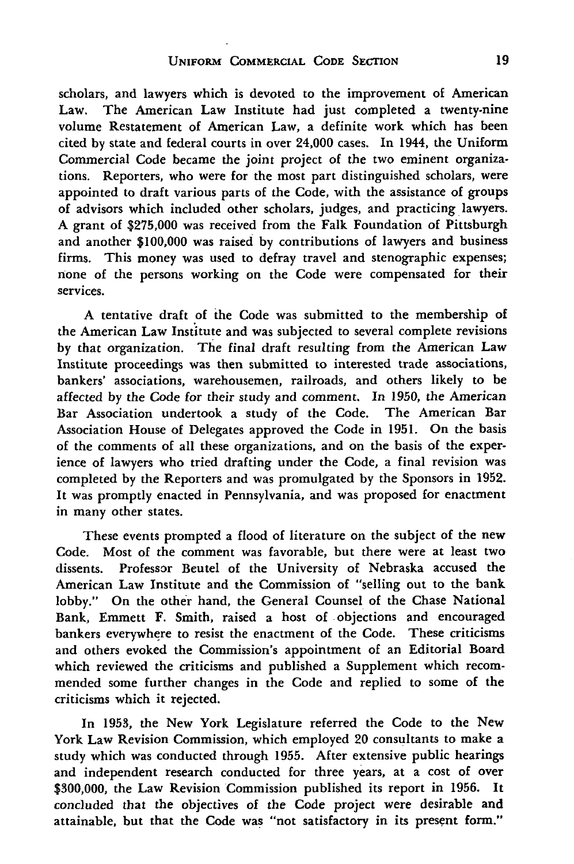scholars, and lawyers which is devoted to the improvement of American Law. The American Law Institute had just completed a twenty-nine volume Restatement of American Law, a definite work which has been cited **by** state and federal courts in over 24,000 cases. In 1944, the Uniform Commercial Code became the joint project of the two eminent organizations. Reporters, who were for the most part distinguished scholars, were appointed to draft various parts of the Code, with the assistance of groups of advisors which included other scholars, judges, and practicing lawyers. A grant of **\$275,000** was received from the Falk Foundation of Pittsburgh and another **\$100,000** was raised **by** contributions of lawyers and business firms. This money was used to defray travel and stenographic expenses; none of the persons working on the Code were compensated for their services.

A tentative draft of the Code was submitted to the membership of the American Law Institute and was subjected to several complete revisions by that organization. The final draft resulting from the American Law Institute proceedings was then submitted to interested trade associations, bankers' associations, warehousemen, railroads, and others likely to be affected by the Code for their study and comment. In 1950, the American Bar Association undertook a study of the Code. The American Bar Association House of Delegates approved the Code in 1951. On the basis of the comments of all these organizations, and on the basis of the experience of lawyers who tried drafting under the Code, a final revision was completed by the Reporters and was promulgated by the Sponsors in 1952. It was promptly enacted in Pennsylvania, and was proposed for enactment in many other states.

These events prompted a flood of literature on the subject of the new Code. Most of the comment was favorable, but there were at least two dissents. Professor Beutel of the University of Nebraska accused the American Law Institute and the Commission of "selling out to the bank lobby." On the other hand, the General Counsel of the Chase National Bank, Emmett F. Smith, raised a host of objections and encouraged bankers everywhere to resist the enactment of the Code. These criticisms and others evoked the Commission's appointment of an Editorial Board which reviewed the criticisms and published a Supplement which recommended some further changes in the Code and replied to some of the criticisms which it rejected.

In 1953, the New York Legislature referred the Code to the New York Law Revision Commission, which employed 20 consultants to make a study which was conducted through 1955. After extensive public hearings and independent research conducted for three years, at a cost of over \$300,000, the Law Revision Commission published its report in 1956. It concluded that the objectives of the Code project were desirable and attainable, but that the Code was "not satisfactory in its present form."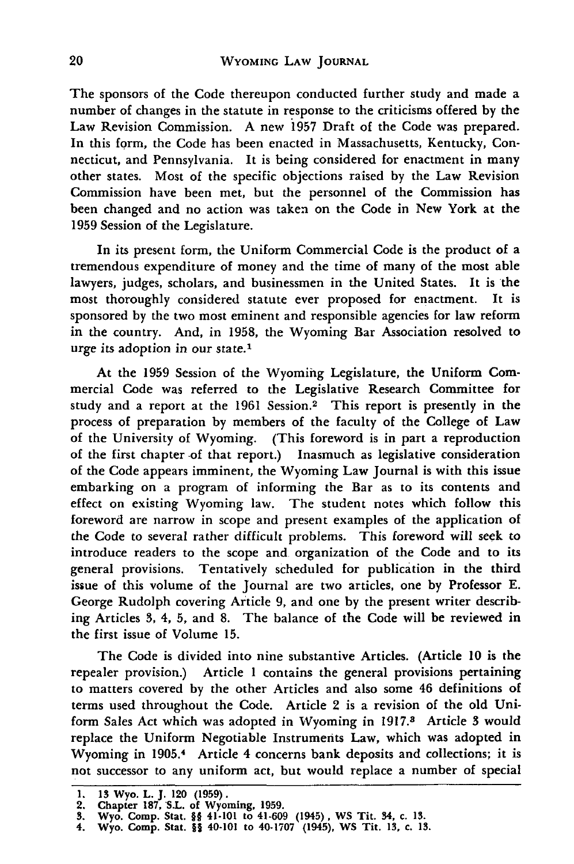The sponsors of the Code thereupon conducted further study and made a number of changes in the statute in response to the criticisms offered by the Law Revision Commission. A new 1957 Draft of the Code was prepared. In this form, the Code has been enacted in Massachusetts, Kentucky, Connecticut, and Pennsylvania. It is being considered for enactment in many other states. Most of the specific objections raised **by** the Law Revision Commission have been met, but the personnel of the Commission has been changed and no action was taken on the Code in New York at the 1959 Session of the Legislature.

In its present form, the Uniform Commercial Code is the product of a tremendous expenditure of money and the time of many of the most able lawyers, judges, scholars, and businessmen in the United States. It is the most thoroughly considered statute ever proposed for enactment. It is sponsored by the two most eminent and responsible agencies for law reform in the country. And, in 1958, the Wyoming Bar Association resolved to urge its adoption in our state.1

At the 1959 Session of the Wyoming Legislature, the Uniform Commercial Code was referred to the Legislative Research Committee for study and a report at the 1961 Session.<sup>2</sup> This report is presently in the process of preparation by members of the faculty of the College of Law of the University of Wyoming. (This foreword is in part a reproduction of the first chapter of that report.) Inasmuch as legislative consideration of the Code appears imminent, the Wyoming Law Journal is with this issue embarking on a program of informing the Bar as to its contents and effect on existing Wyoming law. The student notes which follow this foreword are narrow in scope and present examples of the application of the Code to several rather difficult problems. This foreword will seek to introduce readers to the scope and organization of the Code and to its general provisions. Tentatively scheduled for publication in the third issue of this volume of the Journal are two articles, one by Professor E. George Rudolph covering Article 9, and one by the present writer describing Articles **3,** 4, **5,** and 8. The balance of the Code will be reviewed in the first issue of Volume **15.**

The Code is divided into nine substantive Articles. (Article 10 is the repealer provision.) Article 1 contains the general provisions pertaining to matters covered by the other Articles and also some 46 definitions of terms used throughout the Code. Article 2 is a revision of the old Uniform Sales Act which was adopted in Wyoming in 1917.8 Article **3** would replace the Uniform Negotiable Instruments Law, which was adopted in Wyoming in 1905.<sup>4</sup> Article 4 concerns bank deposits and collections; it is not successor to any uniform act, but would replace a number of special

**<sup>1. 13</sup> Wyo. L. J. 120 (1959).**

**<sup>2.</sup> Chapter 187, S.L. of Wyoming, 1959. 3. Wyo. Comp. Stat.** §§ **41-101 to** 41-609 **(1945), WS Tit. 34, c. 13.**

**<sup>4.</sup> Wyo. Comp. Stat.** §§ **40-101 to 40-1707 (1945), WS Tit. 13, c. 13.**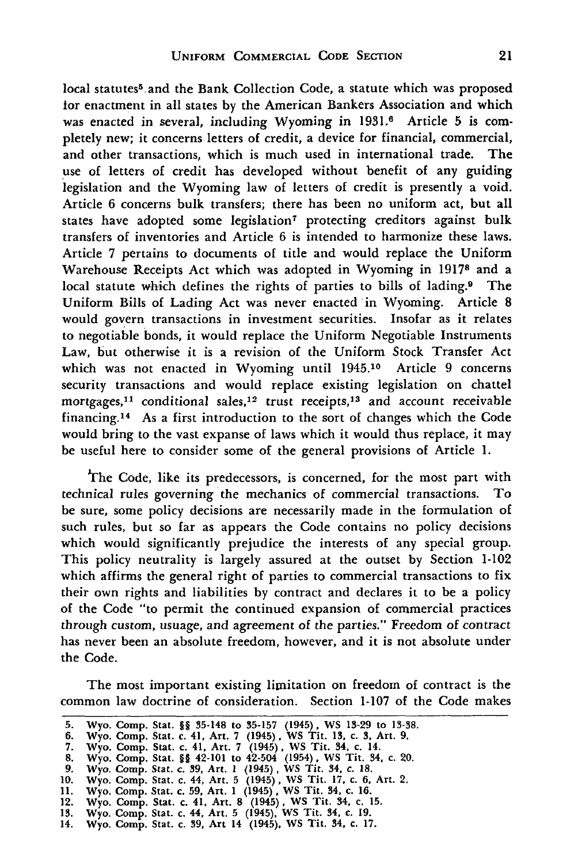local statutes<sup>5</sup> and the Bank Collection Code, a statute which was proposed for enactment in all states by the American Bankers Association and which was enacted in several, including Wyoming in 1931.6 Article **5** is completely new; it concerns letters of credit, a device for financial, commercial, and other transactions, which is much used in international trade. The use of letters of credit has developed without benefit of any guiding legislation and the Wyoming law of letters of credit is presently a void. Article 6 concerns bulk transfers; there has been no uniform act, but all states have adopted some legislation<sup>7</sup> protecting creditors against bulk transfers of inventories and Article 6 is intended to harmonize these laws. Article 7 pertains to documents of title and would replace the Uniform Warehouse Receipts Act which was adopted in Wyoming in 19178 and a local statute which defines the rights of parties to bills of lading.<sup>9</sup> The Uniform Bills of Lading Act was never enacted in Wyoming. Article 8 would govern transactions in investment securities. Insofar as it relates to negotiable bonds, it would replace the Uniform Negotiable Instruments Law, but otherwise it is a revision of the Uniform Stock Transfer Act which was not enacted in Wyoming until 1945.10 Article 9 concerns security transactions and would replace existing legislation on chattel mortgages,<sup>11</sup> conditional sales,<sup>12</sup> trust receipts,<sup>13</sup> and account receivable financing.14 As a first introduction to the sort of changes which the Code would bring to the vast expanse of laws which it would thus replace, it may be useful here to consider some of the general provisions of Article 1.

The Code, like its predecessors, is concerned, for the most part with technical rules governing the mechanics of commercial transactions. To be sure, some policy decisions are necessarily made in the formulation of such rules, but so far as appears the Code contains no policy decisions which would significantly prejudice the interests of any special group. This policy neutrality is largely assured at the outset by Section 1-102 which affirms the general right of parties to commercial transactions to fix their own rights and liabilities by contract and declares it to be a policy of the Code "to permit the continued expansion of commercial practices through custom, usuage, and agreement of the parties." Freedom of contract has never been an absolute freedom, however, and it is not absolute under the Code.

The most important existing limitation on freedom of contract is the common law doctrine of consideration. Section 1-107 of the Code makes

**<sup>5.</sup>** Wyo. Comp. Stat. §§ **35-148** to **35-157** (1945), WS **13-29** to **13-38. 6.** Wyo. Comp. Stat. c. 41, Art. **7** (1945), WS Tit. *13,* c. 3, Art. **9.**

**<sup>7.</sup>** Wyo. Comp. Stat. c. 41, Art. **7** (1945), WS Tit. 34, c. 14. **8.** Wyo. Comp. Stat. **§§** 42-101 to 42-504 (1954), WS Tit. **34,** c. 20.

**<sup>9.</sup>** Wyo. Comp. Stat. c. *39,* Art. **1** (1945), WS Tit. *34,* c. **18. 10.** Wyo. Comp. Stat. c. 44, Art. **5** (1945), WS Tit. **17,** c. 6, Art. 2.

**<sup>11.</sup>** Wyo. Comp. Stat. c. **59,** Art. **1** (1945), WS Tit. 34, c. **16.**

<sup>12.</sup> Wyo. Comp. Stat. c. 41, Art. **8** (1945), WS Tit. 34, c. **15.**

**<sup>13.</sup>** Wyo. Comp. Stat. c. 44, Art. **5** (1945), WS Tit. **34,** c. **19.** 14. Wyo. Comp. Stat. c. **39,** Art 14 (1945), WS Tit. 34, c. **17.**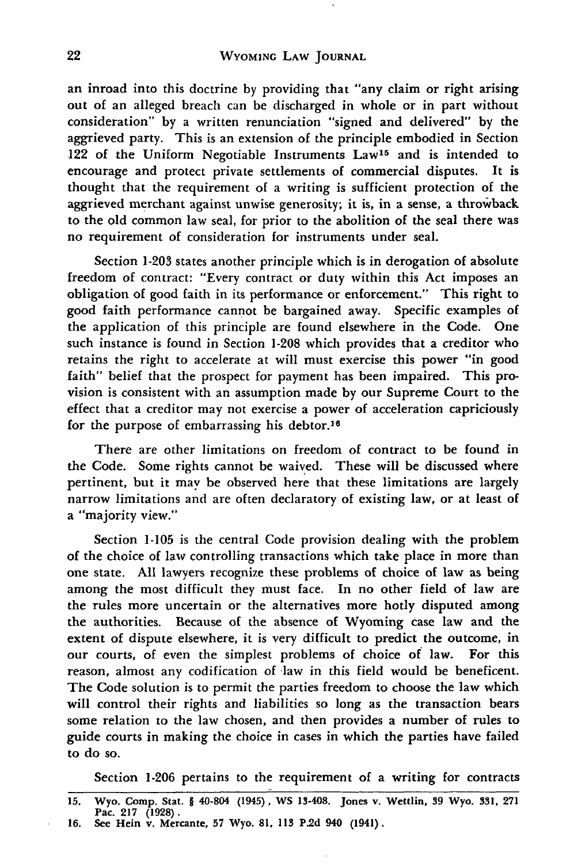an inroad into this doctrine by providing that "any claim or right arising out of an alleged breach can be discharged in whole or in part without consideration" by a written renunciation "signed and delivered" by the aggrieved party. This is an extension of the principle embodied in Section 122 of the Uniform Negotiable Instruments Law<sup>15</sup> and is intended to encourage and protect private settlements of commercial disputes. It is thought that the requirement of a writing is sufficient protection of the aggrieved merchant against unwise generosity; it is, in a sense, a throwback to the old common law seal, for prior to the abolition of the seal there was no requirement of consideration for instruments under seal.

Section 1-203 states another principle which is in derogation of absolute freedom of contract: "Every contract or duty within this Act imposes an obligation of good faith in its performance or enforcement." This right to good faith performance cannot be bargained away. Specific examples of the application of this principle are found elsewhere in the Code. One such instance is found in Section 1-208 which provides that a creditor who retains the right to accelerate at will must exercise this power "in good faith" belief that the prospect for payment has been impaired. This provision is consistent with an assumption made by our Supreme Court to the effect that a creditor may not exercise a power of acceleration capriciously for the purpose of embarrassing his debtor.16

There are other limitations on freedom of contract to be found in the Code. Some rights cannot be waived. These will be discussed where pertinent, but it may be observed here that these limitations are largely narrow limitations and are often declaratory of existing law, or at least of a "majority view."

Section 1-105 is the central Code provision dealing with the problem of the choice of law controlling transactions which take place in more than one state. **All** lawyers recognize these problems of choice of law as being among the most difficult they must face. In no other field of law are the rules more uncertain or the alternatives more hotly disputed among the authorities. Because of the absence of Wyoming case law and the extent of dispute elsewhere, it is very difficult to predict the outcome, in our courts, of even the simplest problems of choice of law. For this reason, almost any codification of law in this field would be beneficent. The Code solution is to permit the parties freedom to choose the law which will control their rights and liabilities so long as the transaction bears some relation to the law chosen, and then provides a number of rules to guide courts in making the choice in cases in which the parties have failed to do so.

Section **1-206** pertains to the requirement of a writing for contracts

**<sup>15.</sup>** Wyo. Comp. Stat. § 40-804 **(1945), WS 13-408.** Jones v. Wettlin, **39** Wyo. **331, 271** Pac. **217 (1928).**

**<sup>16.</sup> See** Hein v. Mercante, **57** Wyo. **81, 113 P.2d 940 (1941).**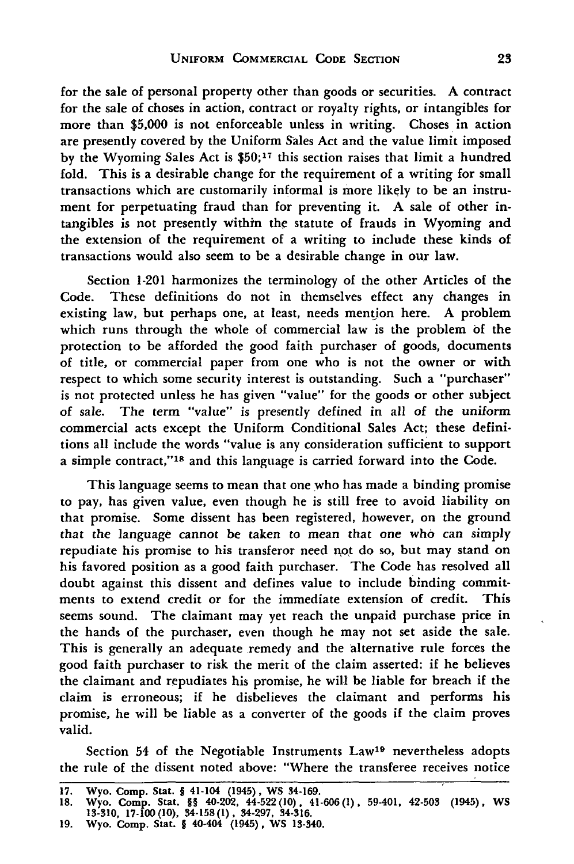for the sale of personal property other than goods or securities. A contract for the sale of choses in action, contract or royalty rights, or intangibles for more than \$5,000 is not enforceable unless in writing. Choses in action are presently covered by the Uniform Sales Act and the value limit imposed by the Wyoming Sales Act is **\$50;17** this section raises that limit a hundred fold. This is a desirable change for the requirement of a writing for small transactions which are customarily informal is more likely to be an instrument for perpetuating fraud than for preventing it. A sale of other intangibles is not presently within the statute of frauds in Wyoming and the extension of the requirement of a writing to include these kinds of transactions would also seem to be a desirable change in our law.

Section 1-201 harmonizes the terminology of the other Articles of the Code. These definitions do not in themselves effect any changes in existing law, but perhaps one, at least, needs mention here. A problem which runs through the whole of commercial law is the problem **of** the protection to be afforded the good faith purchaser of goods, documents of title, or commercial paper from one who is not the owner or with respect to which some security interest is outstanding. Such a "purchaser" is not protected unless he has given "value" for the goods or other subject of sale. The term "value" is presently defined in all of the uniform commercial acts except the Uniform Conditional Sales Act; these definitions all include the words "value is any consideration sufficient to support a simple contract,"18 and this language is carried forward into the Code.

This language seems to mean that one who has made a binding promise to pay, has given value, even though he is still free to avoid liability on that promise. Some dissent has been registered, however, on the ground that the language cannot be taken to mean that one who can simply repudiate his promise to his transferor need not do so, but may stand on his favored position as a good faith purchaser. The Code has resolved all doubt against this dissent and defines value to include binding commitments to extend credit or for the immediate extension of credit. This seems sound. The claimant may yet reach the unpaid purchase price in the hands of the purchaser, even though he may not set aside the sale. This is generally an adequate remedy and the alternative rule forces the good faith purchaser to risk the merit of the claim asserted: if he believes the claimant and repudiates his promise, he will be liable for breach if the claim is erroneous; if he disbelieves the claimant and performs his promise, he will be liable as a converter of the goods if the claim proves valid.

Section 54 of the Negotiable Instruments Law19 nevertheless adopts the rule of the dissent noted above: "Where the transferee receives notice

**<sup>17.</sup> Wyo. Comp. Stat.** § **41-104 (1945), WS 34-169.**

**<sup>18.</sup> Wyo. Comp. Stat.** §§ **40-202, 44-522(10), 41-606(1). 59-401, 42-503 (1945), WS 13-310, 17-100(10), 34-158(1), 34-297, 34-316. 19. Wyo. Comp. Stat.** § **40-404 (1945), WS 13-340.**